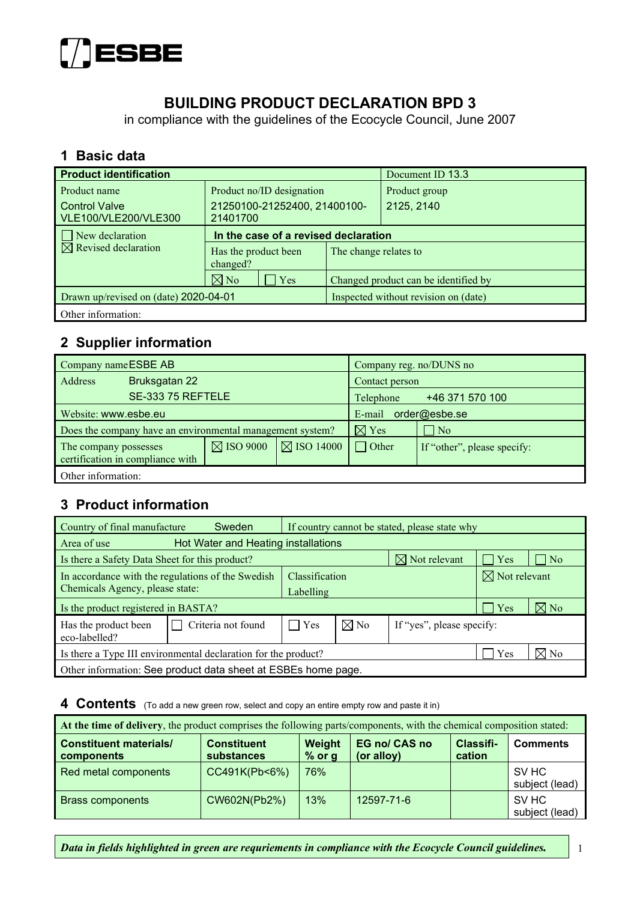

# **BUILDING PRODUCT DECLARATION BPD 3**

in compliance with the guidelines of the Ecocycle Council, June 2007

#### **1 Basic data**

| <b>Product identification</b>         |                                      | Document ID 13.3                     |                                      |  |
|---------------------------------------|--------------------------------------|--------------------------------------|--------------------------------------|--|
| Product name                          | Product no/ID designation            |                                      | Product group                        |  |
| <b>Control Valve</b>                  | 21250100-21252400, 21400100-         |                                      | 2125, 2140                           |  |
| VLE100/VLE200/VLE300                  | 21401700                             |                                      |                                      |  |
| New declaration                       | In the case of a revised declaration |                                      |                                      |  |
| $\boxtimes$ Revised declaration       | Has the product been<br>changed?     | The change relates to                |                                      |  |
|                                       | $\boxtimes$ No<br>$\vert$ Yes        |                                      | Changed product can be identified by |  |
| Drawn up/revised on (date) 2020-04-01 |                                      | Inspected without revision on (date) |                                      |  |
| Other information:                    |                                      |                                      |                                      |  |

### **2 Supplier information**

| Company name ESBE AB  |                                                           |                      | Company reg. no/DUNS no |                         |                             |  |
|-----------------------|-----------------------------------------------------------|----------------------|-------------------------|-------------------------|-----------------------------|--|
| Address               | Bruksgatan 22                                             |                      |                         | Contact person          |                             |  |
|                       | SE-333 75 REFTELE                                         |                      |                         | Telephone               | +46 371 570 100             |  |
|                       | Website: www.esbe.eu                                      |                      |                         | order@esbe.se<br>E-mail |                             |  |
|                       | Does the company have an environmental management system? |                      |                         | $\boxtimes$ Yes         | $ $ No                      |  |
| The company possesses | certification in compliance with                          | $\boxtimes$ ISO 9000 | $\boxtimes$ ISO 14000   | $\Box$ Other            | If "other", please specify: |  |
| Other information:    |                                                           |                      |                         |                         |                             |  |

### **3 Product information**

| Country of final manufacture                                   | Sweden             | If country cannot be stated, please state why |                |                           |             |                     |
|----------------------------------------------------------------|--------------------|-----------------------------------------------|----------------|---------------------------|-------------|---------------------|
| Hot Water and Heating installations<br>Area of use             |                    |                                               |                |                           |             |                     |
| Is there a Safety Data Sheet for this product?                 |                    |                                               |                | $\boxtimes$ Not relevant  | $\vert$ Yes | $\overline{\rm No}$ |
| In accordance with the regulations of the Swedish              | Classification     |                                               |                | $\boxtimes$ Not relevant  |             |                     |
| Chemicals Agency, please state:                                |                    | Labelling                                     |                |                           |             |                     |
| Is the product registered in BASTA?                            |                    |                                               |                |                           | Yes         | $\boxtimes$ No      |
| Has the product been<br>eco-labelled?                          | Criteria not found | Yes                                           | $\boxtimes$ No | If "yes", please specify: |             |                     |
| Is there a Type III environmental declaration for the product? |                    |                                               |                |                           | Yes         | $\boxtimes$ No      |
| Other information: See product data sheet at ESBEs home page.  |                    |                                               |                |                           |             |                     |

#### **4 Contents** (To add a new green row, select and copy an entire empty row and paste it in)

| At the time of delivery, the product comprises the following parts/components, with the chemical composition stated: |                                  |                    |                                    |                            |                         |  |  |
|----------------------------------------------------------------------------------------------------------------------|----------------------------------|--------------------|------------------------------------|----------------------------|-------------------------|--|--|
| <b>Constituent materials/</b><br>components                                                                          | <b>Constituent</b><br>substances | Weight<br>$%$ or g | <b>EG no/ CAS no</b><br>(or alloy) | <b>Classifi-</b><br>cation | <b>Comments</b>         |  |  |
| Red metal components                                                                                                 | CC491K(Pb<6%)                    | 76%                |                                    |                            | SV HC<br>subject (lead) |  |  |
| <b>Brass components</b>                                                                                              | CW602N(Pb2%)                     | 13%                | 12597-71-6                         |                            | SV HC<br>subject (lead) |  |  |

*Data in fields highlighted in green are requriements in compliance with the Ecocycle Council guidelines.* 1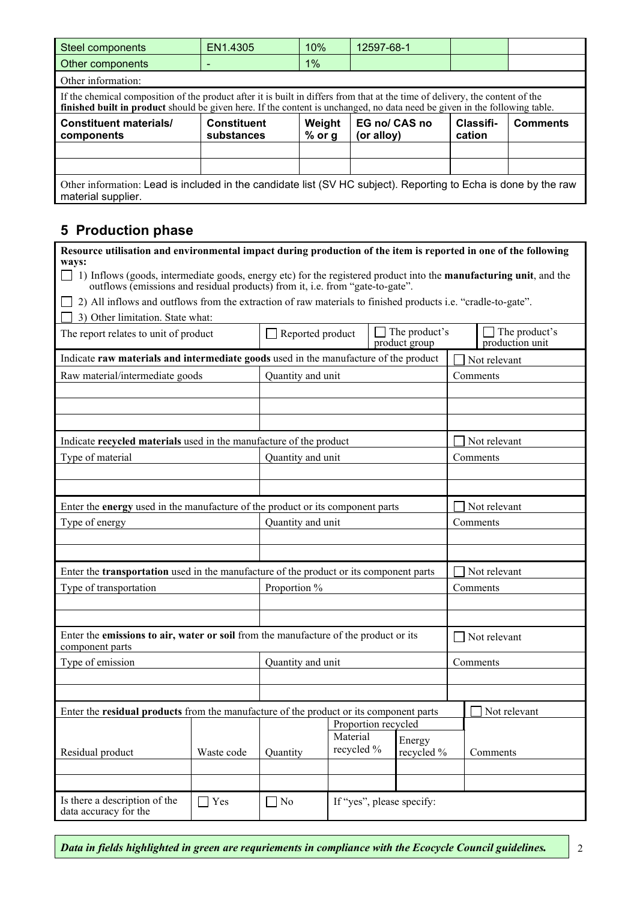| <b>Steel components</b>                                                                                                                                                                                                                                     | EN1.4305                         | 10%                | 12597-68-1                  |                     |                 |  |  |  |  |
|-------------------------------------------------------------------------------------------------------------------------------------------------------------------------------------------------------------------------------------------------------------|----------------------------------|--------------------|-----------------------------|---------------------|-----------------|--|--|--|--|
| Other components                                                                                                                                                                                                                                            |                                  | 1%                 |                             |                     |                 |  |  |  |  |
| Other information:                                                                                                                                                                                                                                          |                                  |                    |                             |                     |                 |  |  |  |  |
| If the chemical composition of the product after it is built in differs from that at the time of delivery, the content of the<br>finished built in product should be given here. If the content is unchanged, no data need be given in the following table. |                                  |                    |                             |                     |                 |  |  |  |  |
| <b>Constituent materials/</b><br>components                                                                                                                                                                                                                 | <b>Constituent</b><br>substances | Weight<br>$%$ or g | EG no/ CAS no<br>(or alloy) | Classifi-<br>cation | <b>Comments</b> |  |  |  |  |
|                                                                                                                                                                                                                                                             |                                  |                    |                             |                     |                 |  |  |  |  |
|                                                                                                                                                                                                                                                             |                                  |                    |                             |                     |                 |  |  |  |  |
| Other information: Lead is included in the candidate list (SV HC subject). Reporting to Echa is done by the raw<br>material supplier.                                                                                                                       |                                  |                    |                             |                     |                 |  |  |  |  |

## **5 Production phase**

| Resource utilisation and environmental impact during production of the item is reported in one of the following                                                                                                      |                     |                                                                                        |                        |  |                                |              |                                  |
|----------------------------------------------------------------------------------------------------------------------------------------------------------------------------------------------------------------------|---------------------|----------------------------------------------------------------------------------------|------------------------|--|--------------------------------|--------------|----------------------------------|
| ways:<br>1) Inflows (goods, intermediate goods, energy etc) for the registered product into the <b>manufacturing unit</b> , and the<br>outflows (emissions and residual products) from it, i.e. from "gate-to-gate". |                     |                                                                                        |                        |  |                                |              |                                  |
| 2) All inflows and outflows from the extraction of raw materials to finished products i.e. "cradle-to-gate".                                                                                                         |                     |                                                                                        |                        |  |                                |              |                                  |
| 3) Other limitation. State what:                                                                                                                                                                                     |                     |                                                                                        |                        |  |                                |              |                                  |
| The report relates to unit of product                                                                                                                                                                                |                     | Reported product                                                                       |                        |  | The product's<br>product group |              | The product's<br>production unit |
| Indicate raw materials and intermediate goods used in the manufacture of the product                                                                                                                                 |                     |                                                                                        |                        |  |                                |              | Not relevant                     |
| Raw material/intermediate goods                                                                                                                                                                                      |                     | Quantity and unit                                                                      |                        |  |                                |              | Comments                         |
|                                                                                                                                                                                                                      |                     |                                                                                        |                        |  |                                |              |                                  |
|                                                                                                                                                                                                                      |                     |                                                                                        |                        |  |                                |              |                                  |
|                                                                                                                                                                                                                      |                     |                                                                                        |                        |  |                                |              |                                  |
| Indicate recycled materials used in the manufacture of the product                                                                                                                                                   |                     |                                                                                        |                        |  |                                |              | Not relevant                     |
| Type of material                                                                                                                                                                                                     |                     | Quantity and unit                                                                      |                        |  |                                |              | Comments                         |
|                                                                                                                                                                                                                      |                     |                                                                                        |                        |  |                                |              |                                  |
|                                                                                                                                                                                                                      |                     |                                                                                        |                        |  |                                |              |                                  |
| Enter the energy used in the manufacture of the product or its component parts                                                                                                                                       |                     |                                                                                        |                        |  |                                |              | Not relevant                     |
| Type of energy                                                                                                                                                                                                       |                     | Quantity and unit                                                                      |                        |  | Comments                       |              |                                  |
|                                                                                                                                                                                                                      |                     |                                                                                        |                        |  |                                |              |                                  |
|                                                                                                                                                                                                                      |                     |                                                                                        |                        |  |                                |              |                                  |
|                                                                                                                                                                                                                      |                     | Enter the transportation used in the manufacture of the product or its component parts |                        |  |                                | Not relevant |                                  |
| Type of transportation                                                                                                                                                                                               |                     | Proportion %                                                                           |                        |  | Comments                       |              |                                  |
|                                                                                                                                                                                                                      |                     |                                                                                        |                        |  |                                |              |                                  |
|                                                                                                                                                                                                                      |                     |                                                                                        |                        |  |                                |              |                                  |
| Enter the emissions to air, water or soil from the manufacture of the product or its<br>component parts                                                                                                              |                     |                                                                                        |                        |  |                                |              | $\Box$ Not relevant              |
| Type of emission                                                                                                                                                                                                     |                     | Quantity and unit                                                                      |                        |  |                                | Comments     |                                  |
|                                                                                                                                                                                                                      |                     |                                                                                        |                        |  |                                |              |                                  |
|                                                                                                                                                                                                                      |                     |                                                                                        |                        |  |                                |              |                                  |
| Enter the residual products from the manufacture of the product or its component parts                                                                                                                               |                     |                                                                                        |                        |  |                                |              | Not relevant                     |
|                                                                                                                                                                                                                      | Proportion recycled |                                                                                        |                        |  |                                |              |                                  |
| Residual product                                                                                                                                                                                                     | Waste code          | Quantity                                                                               | Material<br>recycled % |  | Energy<br>recycled %           |              |                                  |
|                                                                                                                                                                                                                      |                     |                                                                                        |                        |  |                                |              | Comments                         |
|                                                                                                                                                                                                                      |                     |                                                                                        |                        |  |                                |              |                                  |
| Is there a description of the<br>data accuracy for the                                                                                                                                                               | $\Box$ Yes          | $\Box$ No                                                                              |                        |  | If "yes", please specify:      |              |                                  |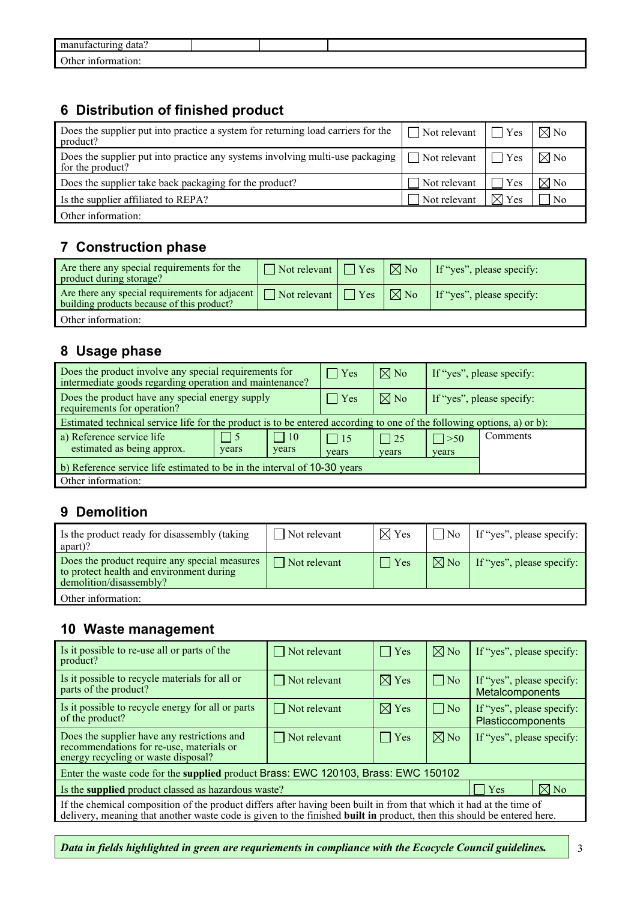| man<br>doto<br>11 S.<br>uaia.<br>11 A G<br>. . |  |  |
|------------------------------------------------|--|--|
| $\Omega$ ther $\mu$<br>orn<br>ונזו             |  |  |

### **6 Distribution of finished product**

| Does the supplier put into practice a system for returning load carriers for the<br>product?                                     | $\Box$ Not relevant $\Box$ Yes |                 | $\nabla$ No    |
|----------------------------------------------------------------------------------------------------------------------------------|--------------------------------|-----------------|----------------|
| Does the supplier put into practice any systems involving multi-use packaging $\Box$ Not relevant $\Box$ Yes<br>for the product? |                                |                 | $\boxtimes$ No |
| Does the supplier take back packaging for the product?                                                                           | Not relevant                   | Yes             | $\boxtimes$ No |
| Is the supplier affiliated to REPA?                                                                                              | Not relevant                   | $\boxtimes$ Yes | $^1$ No        |
| Other information:                                                                                                               |                                |                 |                |

## **7 Construction phase**

| Are there any special requirements for the<br>product during storage?                         | $\Box$ Not relevant $\Box$ Yes        | $\boxtimes$ No                    | If "yes", please specify: |
|-----------------------------------------------------------------------------------------------|---------------------------------------|-----------------------------------|---------------------------|
| Are there any special requirements for adjacent<br>building products because of this product? | $\Box$ Not relevant $\Box$ Yes $\Box$ | $\mid \nabla \!\!\!\!\!\nabla$ No | If "yes", please specify: |
| Other information:                                                                            |                                       |                                   |                           |

## **8 Usage phase**

| Does the product involve any special requirements for<br>intermediate goods regarding operation and maintenance?       | $\vert \vert$ Yes   | $\boxtimes$ No     | If "yes", please specify: |          |  |
|------------------------------------------------------------------------------------------------------------------------|---------------------|--------------------|---------------------------|----------|--|
| Does the product have any special energy supply<br>requirements for operation?                                         | $\vert$ Yes         | $\boxtimes$ No     | If "yes", please specify: |          |  |
| Estimated technical service life for the product is to be entered according to one of the following options, a) or b): |                     |                    |                           |          |  |
| $\Box$ 10<br>a) Reference service life<br>$\vert$ 5<br>estimated as being approx.<br>years<br>years                    | $\vert$ 15<br>years | $\Box$ 25<br>years | $\Box$ > 50<br>years      | Comments |  |
| b) Reference service life estimated to be in the interval of 10-30 years                                               |                     |                    |                           |          |  |
| Other information:                                                                                                     |                     |                    |                           |          |  |

## **9 Demolition**

| Is the product ready for disassembly (taking<br>apart)?                                                              | $\sqrt{\ }$ Not relevant | $\boxtimes$ Yes | $\overline{N_0}$     | If "yes", please specify: |
|----------------------------------------------------------------------------------------------------------------------|--------------------------|-----------------|----------------------|---------------------------|
| Does the product require any special measures<br>to protect health and environment during<br>demolition/disassembly? | $\Box$ Not relevant      | $\exists$ Yes   | $\n  \boxtimes No\n$ | If "yes", please specify: |
| Other information:                                                                                                   |                          |                 |                      |                           |

## **10 Waste management**

| Is it possible to re-use all or parts of the<br>product?                                                                                                                                                                                             | Not relevant        | $\Box$ Yes      | $\nabla$ No        | If "yes", please specify:                      |  |  |
|------------------------------------------------------------------------------------------------------------------------------------------------------------------------------------------------------------------------------------------------------|---------------------|-----------------|--------------------|------------------------------------------------|--|--|
| Is it possible to recycle materials for all or<br>parts of the product?                                                                                                                                                                              | $\Box$ Not relevant | $\boxtimes$ Yes | $\vert$ $\vert$ No | If "yes", please specify:<br>Metalcomponents   |  |  |
| Is it possible to recycle energy for all or parts<br>of the product?                                                                                                                                                                                 | $\Box$ Not relevant | $\boxtimes$ Yes | $\vert$   No       | If "yes", please specify:<br>Plasticcomponents |  |  |
| Does the supplier have any restrictions and<br>recommendations for re-use, materials or<br>energy recycling or waste disposal?                                                                                                                       | $\Box$ Not relevant | $\Box$ Yes      | $\nabla$ No        | If "yes", please specify:                      |  |  |
| Enter the waste code for the supplied product Brass: EWC 120103, Brass: EWC 150102                                                                                                                                                                   |                     |                 |                    |                                                |  |  |
| Is the supplied product classed as hazardous waste?                                                                                                                                                                                                  | Yes                 | $\nabla$ No     |                    |                                                |  |  |
| If the chemical composition of the product differs after having been built in from that which it had at the time of<br>delivery, meaning that another waste code is given to the finished <b>built in</b> product, then this should be entered here. |                     |                 |                    |                                                |  |  |

*Data in fields highlighted in green are requriements in compliance with the Ecocycle Council guidelines.*  $\begin{vmatrix} 3 & 3 \\ 3 & 3 \end{vmatrix}$